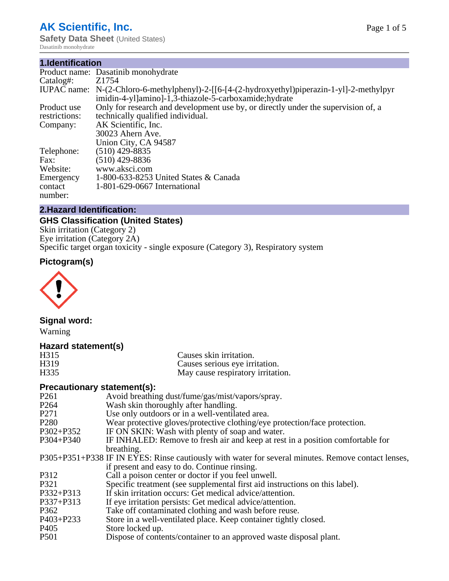## **AK Scientific, Inc.**

**Safety Data Sheet** (United States) Dasatinib monohydrate

#### **1.Identification**

|                                 | Product name: Dasatinib monohydrate                                                                                                                   |
|---------------------------------|-------------------------------------------------------------------------------------------------------------------------------------------------------|
| Catalog#:                       | Z1754                                                                                                                                                 |
|                                 | IUPAC name: N-(2-Chloro-6-methylphenyl)-2-[[6-[4-(2-hydroxyethyl)piperazin-1-yl]-2-methylpyr<br>imidin-4-yl]amino]-1,3-thiazole-5-carboxamide;hydrate |
| Product use                     | Only for research and development use by, or directly under the supervision of, a                                                                     |
| restrictions:                   | technically qualified individual.                                                                                                                     |
| Company:                        | AK Scientific, Inc.                                                                                                                                   |
|                                 | 30023 Ahern Ave.                                                                                                                                      |
|                                 | Union City, CA 94587                                                                                                                                  |
| Telephone:                      | $(510)$ 429-8835                                                                                                                                      |
| Fax:                            | (510) 429-8836                                                                                                                                        |
| Website:                        | www.aksci.com                                                                                                                                         |
| Emergency<br>contact<br>number: | 1-800-633-8253 United States & Canada<br>1-801-629-0667 International                                                                                 |

## **2.Hazard Identification:**

## **GHS Classification (United States)**

Skin irritation (Category 2) Eye irritation (Category 2A) Specific target organ toxicity - single exposure (Category 3), Respiratory system

## **Pictogram(s)**



## **Signal word:**

Warning

#### **Hazard statement(s)**

| H315              | Causes skin irritation.           |
|-------------------|-----------------------------------|
| H <sub>3</sub> 19 | Causes serious eye irritation.    |
| H335              | May cause respiratory irritation. |

#### **Precautionary statement(s):**

| P261             | Avoid breathing dust/fume/gas/mist/vapors/spray.                                                   |
|------------------|----------------------------------------------------------------------------------------------------|
| P <sub>264</sub> | Wash skin thoroughly after handling.                                                               |
| P271             | Use only outdoors or in a well-ventilated area.                                                    |
| P <sub>280</sub> | Wear protective gloves/protective clothing/eye protection/face protection.                         |
| P302+P352        | IF ON SKIN: Wash with plenty of soap and water.                                                    |
| P304+P340        | IF INHALED: Remove to fresh air and keep at rest in a position comfortable for                     |
|                  | breathing.                                                                                         |
|                  | P305+P351+P338 IF IN EYES: Rinse cautiously with water for several minutes. Remove contact lenses, |
|                  | if present and easy to do. Continue rinsing.                                                       |
| P312             | Call a poison center or doctor if you feel unwell.                                                 |
| P321             | Specific treatment (see supplemental first aid instructions on this label).                        |
| P332+P313        | If skin irritation occurs: Get medical advice/attention.                                           |
| P337+P313        | If eye irritation persists: Get medical advice/attention.                                          |
| P362             | Take off contaminated clothing and wash before reuse.                                              |
| P403+P233        | Store in a well-ventilated place. Keep container tightly closed.                                   |
| P405             | Store locked up.                                                                                   |
| P <sub>501</sub> | Dispose of contents/container to an approved waste disposal plant.                                 |
|                  |                                                                                                    |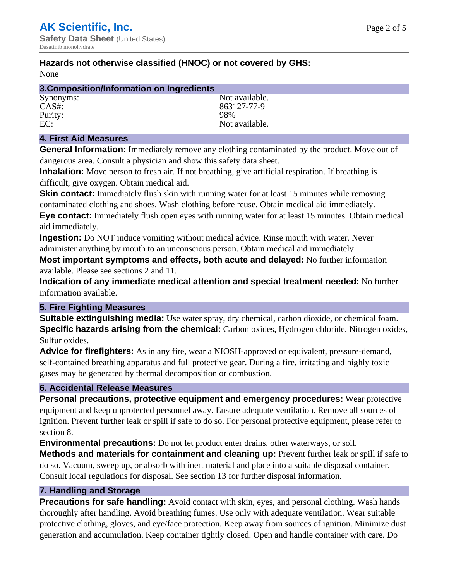## **Hazards not otherwise classified (HNOC) or not covered by GHS:**

None

| 3. Composition/Information on Ingredients |                |
|-------------------------------------------|----------------|
| Synonyms:                                 | Not available. |
| $CAS#$ :                                  | 863127-77-9    |
| Purity:                                   | 98%            |
| EC:                                       | Not available. |

#### **4. First Aid Measures**

**General Information:** Immediately remove any clothing contaminated by the product. Move out of dangerous area. Consult a physician and show this safety data sheet.

**Inhalation:** Move person to fresh air. If not breathing, give artificial respiration. If breathing is difficult, give oxygen. Obtain medical aid.

**Skin contact:** Immediately flush skin with running water for at least 15 minutes while removing contaminated clothing and shoes. Wash clothing before reuse. Obtain medical aid immediately. **Eye contact:** Immediately flush open eyes with running water for at least 15 minutes. Obtain medical aid immediately.

**Ingestion:** Do NOT induce vomiting without medical advice. Rinse mouth with water. Never administer anything by mouth to an unconscious person. Obtain medical aid immediately.

**Most important symptoms and effects, both acute and delayed:** No further information available. Please see sections 2 and 11.

**Indication of any immediate medical attention and special treatment needed:** No further information available.

#### **5. Fire Fighting Measures**

**Suitable extinguishing media:** Use water spray, dry chemical, carbon dioxide, or chemical foam. **Specific hazards arising from the chemical:** Carbon oxides, Hydrogen chloride, Nitrogen oxides, Sulfur oxides.

**Advice for firefighters:** As in any fire, wear a NIOSH-approved or equivalent, pressure-demand, self-contained breathing apparatus and full protective gear. During a fire, irritating and highly toxic gases may be generated by thermal decomposition or combustion.

#### **6. Accidental Release Measures**

**Personal precautions, protective equipment and emergency procedures:** Wear protective equipment and keep unprotected personnel away. Ensure adequate ventilation. Remove all sources of ignition. Prevent further leak or spill if safe to do so. For personal protective equipment, please refer to section 8.

**Environmental precautions:** Do not let product enter drains, other waterways, or soil.

**Methods and materials for containment and cleaning up:** Prevent further leak or spill if safe to do so. Vacuum, sweep up, or absorb with inert material and place into a suitable disposal container. Consult local regulations for disposal. See section 13 for further disposal information.

#### **7. Handling and Storage**

**Precautions for safe handling:** Avoid contact with skin, eyes, and personal clothing. Wash hands thoroughly after handling. Avoid breathing fumes. Use only with adequate ventilation. Wear suitable protective clothing, gloves, and eye/face protection. Keep away from sources of ignition. Minimize dust generation and accumulation. Keep container tightly closed. Open and handle container with care. Do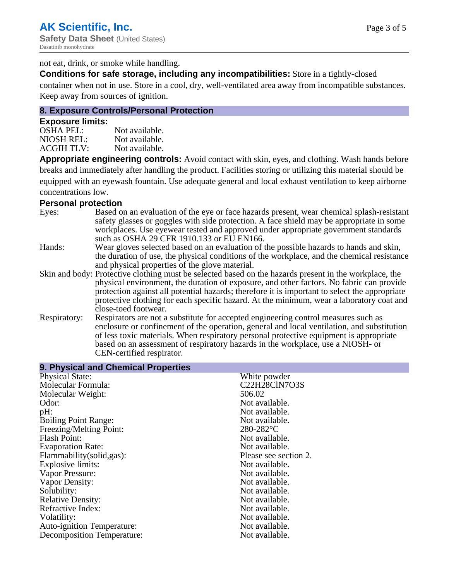not eat, drink, or smoke while handling.

**Conditions for safe storage, including any incompatibilities:** Store in a tightly-closed

container when not in use. Store in a cool, dry, well-ventilated area away from incompatible substances. Keep away from sources of ignition.

## **8. Exposure Controls/Personal Protection**

#### **Exposure limits:**

| OSHA PEL:  | Not available. |
|------------|----------------|
| NIOSH REL: | Not available. |
| ACGIH TLV: | Not available. |

**Appropriate engineering controls:** Avoid contact with skin, eyes, and clothing. Wash hands before breaks and immediately after handling the product. Facilities storing or utilizing this material should be equipped with an eyewash fountain. Use adequate general and local exhaust ventilation to keep airborne concentrations low.

#### **Personal protection**

| Eyes:        | Based on an evaluation of the eye or face hazards present, wear chemical splash-resistant<br>safety glasses or goggles with side protection. A face shield may be appropriate in some<br>workplaces. Use eyewear tested and approved under appropriate government standards<br>such as OSHA 29 CFR 1910.133 or EU EN166.                                                                                                |
|--------------|-------------------------------------------------------------------------------------------------------------------------------------------------------------------------------------------------------------------------------------------------------------------------------------------------------------------------------------------------------------------------------------------------------------------------|
| Hands:       | Wear gloves selected based on an evaluation of the possible hazards to hands and skin,<br>the duration of use, the physical conditions of the workplace, and the chemical resistance<br>and physical properties of the glove material.                                                                                                                                                                                  |
|              | Skin and body: Protective clothing must be selected based on the hazards present in the workplace, the<br>physical environment, the duration of exposure, and other factors. No fabric can provide<br>protection against all potential hazards; therefore it is important to select the appropriate<br>protective clothing for each specific hazard. At the minimum, wear a laboratory coat and<br>close-toed footwear. |
| Respiratory: | Respirators are not a substitute for accepted engineering control measures such as<br>enclosure or confinement of the operation, general and local ventilation, and substitution<br>of less toxic materials. When respiratory personal protective equipment is appropriate<br>based on an assessment of respiratory hazards in the workplace, use a NIOSH- or<br>CEN-certified respirator.                              |

| 9. Physical and Chemical Properties |                       |
|-------------------------------------|-----------------------|
| <b>Physical State:</b>              | White powder          |
| Molecular Formula:                  | <b>C22H28ClN7O3S</b>  |
| Molecular Weight:                   | 506.02                |
| Odor:                               | Not available.        |
| pH:                                 | Not available.        |
| <b>Boiling Point Range:</b>         | Not available.        |
| Freezing/Melting Point:             | $280-282$ °C          |
| <b>Flash Point:</b>                 | Not available.        |
| <b>Evaporation Rate:</b>            | Not available.        |
| Flammability(solid,gas):            | Please see section 2. |
| Explosive limits:                   | Not available.        |
| Vapor Pressure:                     | Not available.        |
| Vapor Density:                      | Not available.        |
| Solubility:                         | Not available.        |
| <b>Relative Density:</b>            | Not available.        |
| Refractive Index:                   | Not available.        |
| Volatility:                         | Not available.        |
| <b>Auto-ignition Temperature:</b>   | Not available.        |
| Decomposition Temperature:          | Not available.        |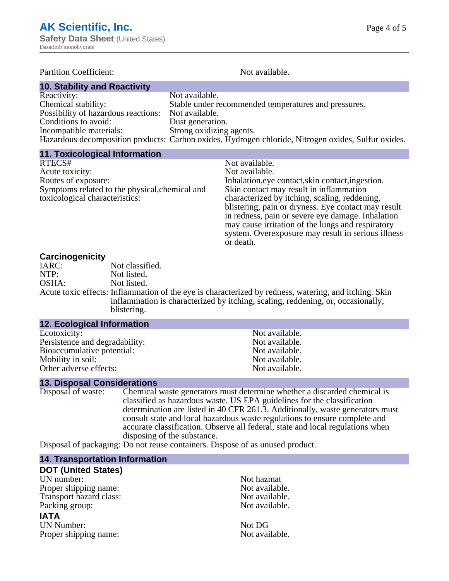| <b>Partition Coefficient:</b>        | Not available.                                                                                      |  |
|--------------------------------------|-----------------------------------------------------------------------------------------------------|--|
| <b>10. Stability and Reactivity</b>  |                                                                                                     |  |
| Reactivity:                          | Not available.                                                                                      |  |
| Chemical stability:                  | Stable under recommended temperatures and pressures.                                                |  |
| Possibility of hazardous reactions:  | Not available.                                                                                      |  |
| Conditions to avoid:                 | Dust generation.                                                                                    |  |
| Incompatible materials:              | Strong oxidizing agents.                                                                            |  |
|                                      | Hazardous decomposition products: Carbon oxides, Hydrogen chloride, Nitrogen oxides, Sulfur oxides. |  |
| <b>11. Toxicological Information</b> |                                                                                                     |  |

| <b>11. IUAIUUIUGIUGI IIIIUI IIIIGUUII</b>      |                                                     |
|------------------------------------------------|-----------------------------------------------------|
| RTECS#                                         | Not available.                                      |
| Acute toxicity:                                | Not available.                                      |
| Routes of exposure:                            | Inhalation, eye contact, skin contact, ingestion.   |
| Symptoms related to the physical, chemical and | Skin contact may result in inflammation             |
| toxicological characteristics:                 | characterized by itching, scaling, reddening,       |
|                                                | blistering, pain or dryness. Eye contact may result |
|                                                | in redness, pain or severe eye damage. Inhalation   |
|                                                | may cause irritation of the lungs and respiratory   |
|                                                | system. Overexposure may result in serious illness  |
|                                                | or death.                                           |

#### **Carcinogenicity**

| IARC:                                  | Not classified.    |
|----------------------------------------|--------------------|
| NTP:                                   | Not listed.        |
| OSHA:                                  | Not listed.        |
| Acute toxic effects: Inflammation of t |                    |
|                                        | inflammation is cl |

he eye is characterized by redness, watering, and itching. Skin characterized by itching, scaling, reddening, or, occasionally, blistering.

| 12. Ecological Information     |                |  |
|--------------------------------|----------------|--|
| Ecotoxicity:                   | Not available. |  |
| Persistence and degradability: | Not available. |  |
| Bioaccumulative potential:     | Not available. |  |
| Mobility in soil:              | Not available. |  |
| Other adverse effects:         | Not available. |  |

# **13. Disposal Considerations**

Chemical waste generators must determine whether a discarded chemical is classified as hazardous waste. US EPA guidelines for the classification determination are listed in 40 CFR 261.3. Additionally, waste generators must consult state and local hazardous waste regulations to ensure complete and accurate classification. Observe all federal, state and local regulations when disposing of the substance.

Disposal of packaging: Do not reuse containers. Dispose of as unused product.

## **14. Transportation Information**

| 14. Transportation information |         |
|--------------------------------|---------|
| <b>DOT (United States)</b>     |         |
| UN number:                     | Not haz |
| Proper shipping name:          | Not ava |
| Transport hazard class:        | Not ava |
| Packing group:                 | Not ava |
| <b>IATA</b>                    |         |
| <b>UN Number:</b>              | Not DG  |
|                                |         |

Not hazmat Not available. Not available. Not available.

Proper shipping name: Not available.